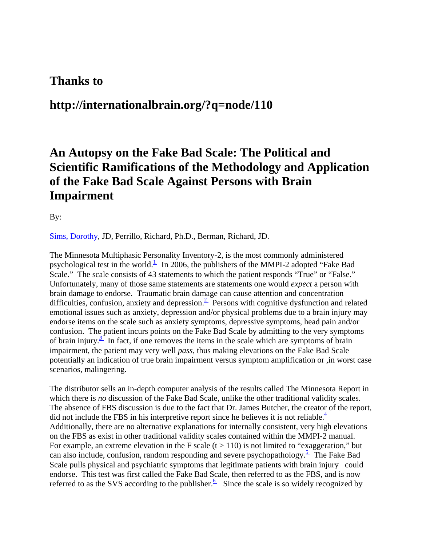## **Thanks to**

# **http://internationalbrain.org/?q=node/110**

# **An Autopsy on the Fake Bad Scale: The Political and Scientific Ramifications of the Methodology and Application of the Fake Bad Scale Against Persons with Brain Impairment**

By:

[Sims, Dorothy](mailto:dcs@ocalaw.com), JD, Perrillo, Richard, Ph.D., Berman, Richard, JD.

The Minnesota Multiphasic Personality Inventory-2, is the most commonly administered psychological test in the world.<sup>1</sup> In 2006, the publishers of the MMPI-2 adopted "Fake Bad" Scale." The scale consists of 43 statements to which the patient responds "True" or "False." Unfortunately, many of those same statements are statements one would *expect* a person with brain damage to endorse. Traumatic brain damage can cause attention and concentration difficulties, confusion, anxiety and depression.<sup>2</sup> Persons with cognitive dysfunction and related emotional issues such as anxiety, depression and/or physical problems due to a brain injury may endorse items on the scale such as anxiety symptoms, depressive symptoms, head pain and/or confusion. The patient incurs points on the Fake Bad Scale by admitting to the very symptoms of brain injury. $\frac{3}{2}$  In fact, if one removes the items in the scale which are symptoms of brain impairment, the patient may very well *pass,* thus making elevations on the Fake Bad Scale potentially an indication of true brain impairment versus symptom amplification or ,in worst case scenarios, malingering.

The distributor sells an in-depth computer analysis of the results called The Minnesota Report in which there is *no* discussion of the Fake Bad Scale, unlike the other traditional validity scales. The absence of FBS discussion is due to the fact that Dr. James Butcher, the creator of the report, did not include the FBS in his interpretive report since he believes it is not reliable. $\frac{4}{1}$ Additionally, there are no alternative explanations for internally consistent, very high elevations on the FBS as exist in other traditional validity scales contained within the MMPI-2 manual. For example, an extreme elevation in the F scale  $(t > 110)$  is not limited to "exaggeration," but can also include, confusion, random responding and severe psychopathology.<sup>5</sup> The Fake Bad Scale pulls physical and psychiatric symptoms that legitimate patients with brain injury could endorse. This test was first called the Fake Bad Scale, then referred to as the FBS, and is now referred to as the SVS according to the publisher.<sup>6</sup> Since the scale is so widely recognized by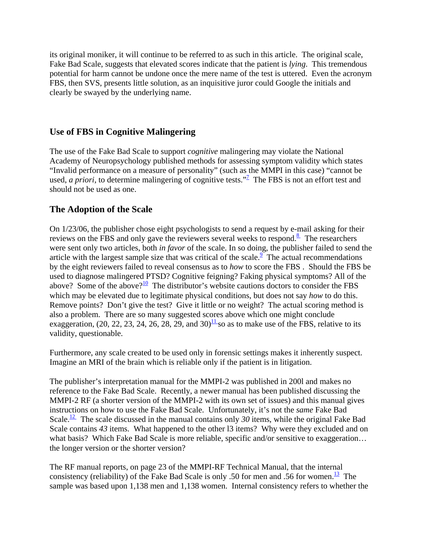its original moniker, it will continue to be referred to as such in this article. The original scale, Fake Bad Scale, suggests that elevated scores indicate that the patient is *lying*. This tremendous potential for harm cannot be undone once the mere name of the test is uttered. Even the acronym FBS, then SVS, presents little solution, as an inquisitive juror could Google the initials and clearly be swayed by the underlying name.

#### **Use of FBS in Cognitive Malingering**

The use of the Fake Bad Scale to support *cognitive* malingering may violate the National Academy of Neuropsychology published methods for assessing symptom validity which states "Invalid performance on a measure of personality" (such as the MMPI in this case) "cannot be used, *a priori*, to determine malingering of cognitive tests."<sup>[7](http://internationalbrain.org/?q=node/110#_edn7)</sup> The FBS is not an effort test and should not be used as one.

#### **The Adoption of the Scale**

On 1/23/06, the publisher chose eight psychologists to send a request by e-mail asking for their reviews on the FBS and only gave the reviewers several weeks to respond.<sup>8</sup> The researchers were sent only two articles, both *in favor* of the scale. In so doing, the publisher failed to send the article with the largest sample size that was critical of the scale.<sup> $9$ </sup> The actual recommendations by the eight reviewers failed to reveal consensus as to *how* to score the FBS . Should the FBS be used to diagnose malingered PTSD? Cognitive feigning? Faking physical symptoms? All of the above? Some of the above?<sup>10</sup> The distributor's website cautions doctors to consider the FBS which may be elevated due to legitimate physical conditions, but does not say *how* to do this. Remove points? Don't give the test? Give it little or no weight? The actual scoring method is also a problem. There are so many suggested scores above which one might conclude exaggeration, (20, 22, 23, 24, 26, 28, 29, and  $30\frac{11}{10}$  so as to make use of the FBS, relative to its validity, questionable.

Furthermore, any scale created to be used only in forensic settings makes it inherently suspect. Imagine an MRI of the brain which is reliable only if the patient is in litigation.

The publisher's interpretation manual for the MMPI-2 was published in 200l and makes no reference to the Fake Bad Scale. Recently, a newer manual has been published discussing the MMPI-2 RF (a shorter version of the MMPI-2 with its own set of issues) and this manual gives instructions on how to use the Fake Bad Scale. Unfortunately, it's not the *same* Fake Bad Scale.<sup>12</sup> The scale discussed in the manual contains only 30 items, while the original Fake Bad Scale contains 43 items. What happened to the other 13 items? Why were they excluded and on what basis? Which Fake Bad Scale is more reliable, specific and/or sensitive to exaggeration... the longer version or the shorter version?

The RF manual reports, on page 23 of the MMPI-RF Technical Manual, that the internal consistency (reliability) of the Fake Bad Scale is only .50 for men and .56 for women.<sup>13</sup> The sample was based upon 1,138 men and 1,138 women. Internal consistency refers to whether the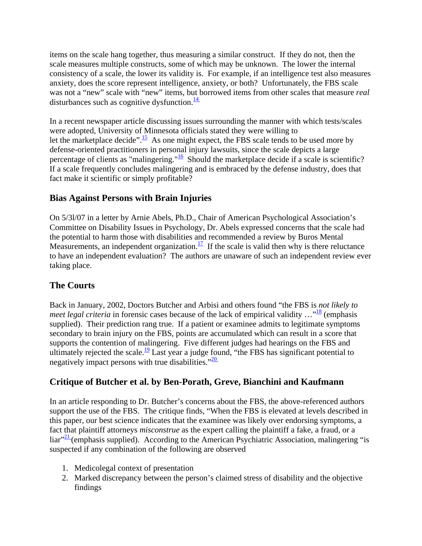items on the scale hang together, thus measuring a similar construct. If they do not, then the scale measures multiple constructs, some of which may be unknown. The lower the internal consistency of a scale, the lower its validity is. For example, if an intelligence test also measures anxiety, does the score represent intelligence, anxiety, or both? Unfortunately, the FBS scale was not a "new" scale with "new" items, but borrowed items from other scales that measure *real*  disturbances such as cognitive dysfunction. $\frac{14}{1}$ 

In a recent newspaper article discussing issues surrounding the manner with which tests/scales were adopted, University of Minnesota officials stated they were willing to let the marketplace decide".<sup>15</sup> As one might expect, the FBS scale tends to be used more by defense-oriented practitioners in personal injury lawsuits, since the scale depicts a large percentage of clients as "malingering." $\frac{16}{2}$  $\frac{16}{2}$  $\frac{16}{2}$  Should the marketplace decide if a scale is scientific? If a scale frequently concludes malingering and is embraced by the defense industry, does that fact make it scientific or simply profitable?

#### **Bias Against Persons with Brain Injuries**

On 5/3l/07 in a letter by Arnie Abels, Ph.D., Chair of American Psychological Association's Committee on Disability Issues in Psychology, Dr. Abels expressed concerns that the scale had the potential to harm those with disabilities and recommended a review by Buros Mental Measurements, an independent organization.<sup>17</sup> If the scale is valid then why is there reluctance to have an independent evaluation? The authors are unaware of such an independent review ever taking place.

#### **The Courts**

Back in January, 2002, Doctors Butcher and Arbisi and others found "the FBS is *not likely to meet legal criteria* in forensic cases because of the lack of empirical validity  $\ldots$ <sup>18</sup> (emphasis supplied). Their prediction rang true. If a patient or examinee admits to legitimate symptoms secondary to brain injury on the FBS, points are accumulated which can result in a score that supports the contention of malingering. Five different judges had hearings on the FBS and ultimately rejected the scale.<sup>19</sup> Last year a judge found, "the FBS has significant potential to negatively impact persons with true disabilities. $\frac{20}{20}$ 

#### **Critique of Butcher et al. by Ben-Porath, Greve, Bianchini and Kaufmann**

In an article responding to Dr. Butcher's concerns about the FBS, the above-referenced authors support the use of the FBS. The critique finds, "When the FBS is elevated at levels described in this paper, our best science indicates that the examinee was likely over endorsing symptoms, a fact that plaintiff attorneys *misconstrue* as the expert calling the plaintiff a fake, a fraud, or a  $\lim_{x \to 2}$  (emphasis supplied). According to the American Psychiatric Association, malingering "is suspected if any combination of the following are observed

- 1. Medicolegal context of presentation
- 2. Marked discrepancy between the person's claimed stress of disability and the objective findings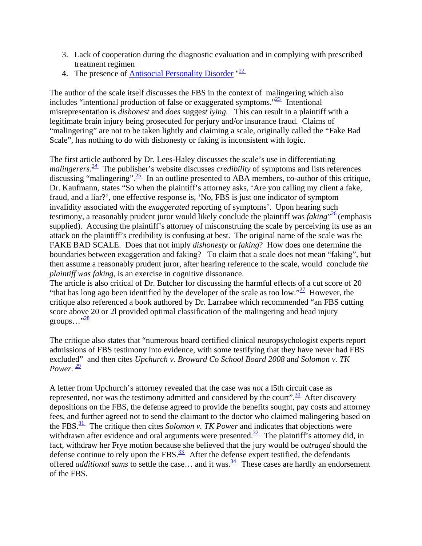- 3. Lack of cooperation during the diagnostic evaluation and in complying with prescribed treatment regimen
- 4. The presence of [Antisocial Personality Disorder](http://en.wikipedia.org/wiki/Antisocial_Personality_Disorder) "<sup>22</sup>

The author of the scale itself discusses the FBS in the context of malingering which also includes "intentional production of false or exaggerated symptoms." $\frac{23}{2}$  Intentional misrepresentation is *dishonest* and *does* sugge*st lying.* This can result in a plaintiff with a legitimate brain injury being prosecuted for perjury and/or insurance fraud. Claims of "malingering" are not to be taken lightly and claiming a scale, originally called the "Fake Bad Scale", has nothing to do with dishonesty or faking is inconsistent with logic.

The first article authored by Dr. Lees-Haley discusses the scale's use in differentiating *malingerers*.<sup>24</sup> The publisher's website discusses *credibility* of symptoms and lists references discussing "malingering".  $\frac{25}{ }$  In an outline presented to ABA members, co-author of this critique, Dr. Kaufmann, states "So when the plaintiff's attorney asks, 'Are you calling my client a fake, fraud, and a liar?', one effective response is, 'No, FBS is just one indicator of symptom invalidity associated with the *exaggerated* reporting of symptoms'. Upon hearing such testimony, a reasonably prudent juror would likely conclude the plaintiff was *faking*" [26](http://internationalbrain.org/?q=node/110#_edn26) (emphasis supplied). Accusing the plaintiff's attorney of misconstruing the scale by perceiving its use as an attack on the plaintiff's credibility is confusing at best. The original name of the scale was the FAKE BAD SCALE. Does that not imply *dishonesty* or *faking*? How does one determine the boundaries between exaggeration and faking? To claim that a scale does not mean "faking", but then assume a reasonably prudent juror, after hearing reference to the scale, would conclude *the plaintiff was faking,* is an exercise in cognitive dissonance.

The article is also critical of Dr. Butcher for discussing the harmful effects of a cut score of 20 "that has long ago been identified by the developer of the scale as too low." $\frac{27}{27}$  However, the critique also referenced a book authored by Dr. Larrabee which recommended "an FBS cutting score above 20 or 2l provided optimal classification of the malingering and head injury groups..." $\frac{28}{2}$ 

The critique also states that "numerous board certified clinical neuropsychologist experts report admissions of FBS testimony into evidence, with some testifying that they have never had FBS excluded" and then cites *Upchurch v. Broward Co School Board 2008* an*d Solomon v. TK Power*.  $\frac{29}{2}$  $\frac{29}{2}$  $\frac{29}{2}$ 

A letter from Upchurch's attorney revealed that the case was *not* a l5th circuit case as represented, nor was the testimony admitted and considered by the court".  $\frac{30}{10}$  After discovery depositions on the FBS, the defense agreed to provide the benefits sought, pay costs and attorney fees, and further agreed not to send the claimant to the doctor who claimed malingering based on the FBS. $\frac{31}{1}$  The critique then cites *Solomon v. TK Power* and indicates that objections were withdrawn after evidence and oral arguments were presented.<sup>32</sup> The plaintiff's attorney did, in fact, withdraw her Frye motion because she believed that the jury would be *outraged* should the defense continue to rely upon the FBS. $\frac{33}{12}$  After the defense expert testified, the defendants offered *additional sums* to settle the case... and it was.  $\frac{34}{1}$  These cases are hardly an endorsement of the FBS.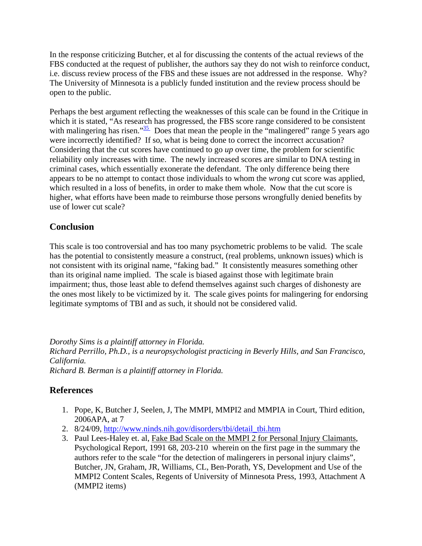In the response criticizing Butcher, et al for discussing the contents of the actual reviews of the FBS conducted at the request of publisher, the authors say they do not wish to reinforce conduct, i.e. discuss review process of the FBS and these issues are not addressed in the response. Why? The University of Minnesota is a publicly funded institution and the review process should be open to the public.

Perhaps the best argument reflecting the weaknesses of this scale can be found in the Critique in which it is stated, "As research has progressed, the FBS score range considered to be consistent with malingering has risen." $\frac{35}{2}$  Does that mean the people in the "malingered" range 5 years ago were incorrectly identified? If so, what is being done to correct the incorrect accusation? Considering that the cut scores have continued to go *up* over time, the problem for scientific reliability only increases with time. The newly increased scores are similar to DNA testing in criminal cases, which essentially exonerate the defendant. The only difference being there appears to be no attempt to contact those individuals to whom the *wrong* cut score was applied, which resulted in a loss of benefits, in order to make them whole. Now that the cut score is higher, what efforts have been made to reimburse those persons wrongfully denied benefits by use of lower cut scale?

#### **Conclusion**

This scale is too controversial and has too many psychometric problems to be valid. The scale has the potential to consistently measure a construct, (real problems, unknown issues) which is not consistent with its original name, "faking bad." It consistently measures something other than its original name implied. The scale is biased against those with legitimate brain impairment; thus, those least able to defend themselves against such charges of dishonesty are the ones most likely to be victimized by it. The scale gives points for malingering for endorsing legitimate symptoms of TBI and as such, it should not be considered valid.

*Dorothy Sims is a plaintiff attorney in Florida.* 

*Richard Perrillo, Ph.D., is a neuropsychologist practicing in Beverly Hills, and San Francisco, California.* 

*Richard B. Berman is a plaintiff attorney in Florida.* 

#### **References**

- 1. Pope, K, Butcher J, Seelen, J, The MMPI, MMPI2 and MMPIA in Court, Third edition, 2006APA, at 7
- 2. 8/24/09, [http://www.ninds.nih.gov/disorders/tbi/detail\\_tbi.htm](http://www.ninds.nih.gov/disorders/tbi/detail_tbi.htm)
- 3. Paul Lees-Haley et. al, Fake Bad Scale on the MMPI 2 for Personal Injury Claimants, Psychological Report, 1991 68, 203-210 wherein on the first page in the summary the authors refer to the scale "for the detection of malingerers in personal injury claims", Butcher, JN, Graham, JR, Williams, CL, Ben-Porath, YS, Development and Use of the MMPI2 Content Scales, Regents of University of Minnesota Press, 1993, Attachment A (MMPI2 items)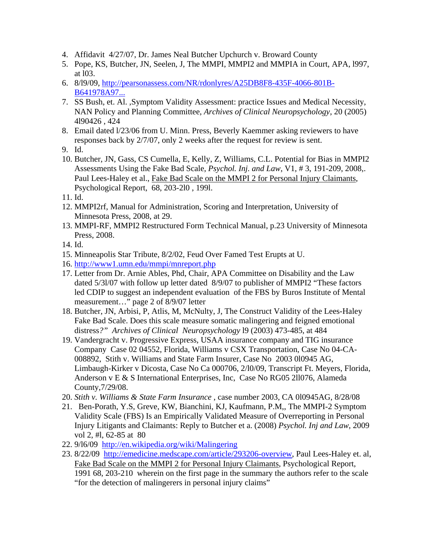- 4. Affidavit 4/27/07, Dr. James Neal Butcher Upchurch v. Broward County
- 5. Pope, KS, Butcher, JN, Seelen, J, The MMPI, MMPI2 and MMPIA in Court, APA, l997, at l03.
- 6. 8/l9/09, [http://pearsonassess.com/NR/rdonlyres/A25DB8F8-435F-4066-801B-](http://pearsonassess.com/NR/rdonlyres/A25DB8F8-435F-4066-801B-B641978A97DA/0/mmpi2FBS.pdf)[B641978A97...](http://pearsonassess.com/NR/rdonlyres/A25DB8F8-435F-4066-801B-B641978A97DA/0/mmpi2FBS.pdf)
- 7. SS Bush, et. Al. ,Symptom Validity Assessment: practice Issues and Medical Necessity, NAN Policy and Planning Committee, *Archives of Clinical Neuropsychology*, 20 (2005) 4l90426 , 424
- 8. Email dated l/23/06 from U. Minn. Press, Beverly Kaemmer asking reviewers to have responses back by 2/7/07, only 2 weeks after the request for review is sent.
- 9. Id.
- 10. Butcher, JN, Gass, CS Cumella, E, Kelly, Z, Williams, C.L. Potential for Bias in MMPI2 Assessments Using the Fake Bad Scale, *Psychol. Inj. and Law*, V1, # 3, 191-209, 2008,. Paul Lees-Haley et al., Fake Bad Scale on the MMPI 2 for Personal Injury Claimants, Psychological Report, 68, 203-2l0 , 199l.
- 11. Id.
- 12. MMPI2rf, Manual for Administration, Scoring and Interpretation, University of Minnesota Press, 2008, at 29.
- 13. MMPI-RF, MMPI2 Restructured Form Technical Manual, p.23 University of Minnesota Press, 2008.
- 14. Id.
- 15. Minneapolis Star Tribute, 8/2/02, Feud Over Famed Test Erupts at U.
- 16. <http://www1.umn.edu/mmpi/mnreport.php>
- 17. Letter from Dr. Arnie Ables, Phd, Chair, APA Committee on Disability and the Law dated 5/3l/07 with follow up letter dated 8/9/07 to publisher of MMPI2 "These factors led CDIP to suggest an independent evaluation of the FBS by Buros Institute of Mental measurement…" page 2 of 8/9/07 letter
- 18. Butcher, JN, Arbisi, P, Atlis, M, McNulty, J, The Construct Validity of the Lees-Haley Fake Bad Scale. Does this scale measure somatic malingering and feigned emotional distress*?" Archives of Clinical Neuropsychology* l9 (2003) 473-485, at 484
- 19. Vandergracht v. Progressive Express, USAA insurance company and TIG insurance Company Case 02 04552, Florida, Williams v CSX Transportation, Case No 04-CA-008892, Stith v. Williams and State Farm Insurer, Case No 2003 0l0945 AG, Limbaugh-Kirker v Dicosta, Case No Ca 000706, 2/l0/09, Transcript Ft. Meyers, Florida, Anderson v E & S International Enterprises, Inc, Case No RG05 2ll076, Alameda County,7/29/08.
- 20. *Stith v. Williams & State Farm Insurance* , case number 2003, CA 0l0945AG, 8/28/08
- 21. Ben-Porath, Y.S, Greve, KW, Bianchini, KJ, Kaufmann, P.M,, The MMPI-2 Symptom Validity Scale (FBS) Is an Empirically Validated Measure of Overreporting in Personal Injury Litigants and Claimants: Reply to Butcher et a. (2008) *Psychol. Inj and Law*, 2009 vol 2, #l, 62-85 at 80
- 22. 9/l6/09 <http://en.wikipedia.org/wiki/Malingering>
- 23. 8/22/09 [http://emedicine.medscape.com/article/293206-overview,](http://emedicine.medscape.com/article/293206-overview) Paul Lees-Haley et. al, Fake Bad Scale on the MMPI 2 for Personal Injury Claimants, Psychological Report, 1991 68, 203-210 wherein on the first page in the summary the authors refer to the scale "for the detection of malingerers in personal injury claims"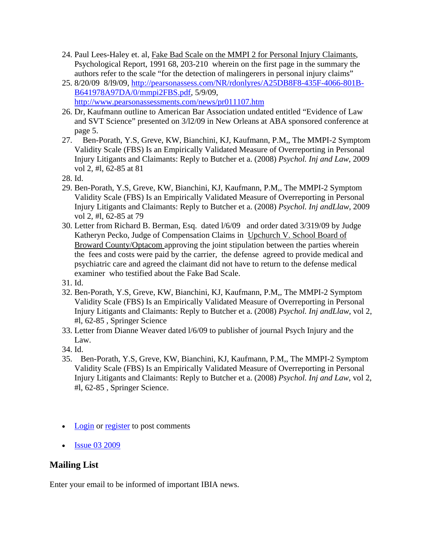- 24. Paul Lees-Haley et. al, Fake Bad Scale on the MMPI 2 for Personal Injury Claimants, Psychological Report, 1991 68, 203-210 wherein on the first page in the summary the authors refer to the scale "for the detection of malingerers in personal injury claims"
- 25. 8/20/09 8/l9/09, [http://pearsonassess.com/NR/rdonlyres/A25DB8F8-435F-4066-801B-](http://pearsonassess.com/NR/rdonlyres/A25DB8F8-435F-4066-801B-B641978A97DA/0/mmpi2FBS.pdf)[B641978A97DA/0/mmpi2FBS.pdf,](http://pearsonassess.com/NR/rdonlyres/A25DB8F8-435F-4066-801B-B641978A97DA/0/mmpi2FBS.pdf) 5/9/09, <http://www.pearsonassessments.com/news/pr011107.htm>
- 26. Dr, Kaufmann outline to American Bar Association undated entitled "Evidence of Law and SVT Science" presented on 3/l2/09 in New Orleans at ABA sponsored conference at page 5.
- 27. Ben-Porath, Y.S, Greve, KW, Bianchini, KJ, Kaufmann, P.M,, The MMPI-2 Symptom Validity Scale (FBS) Is an Empirically Validated Measure of Overreporting in Personal Injury Litigants and Claimants: Reply to Butcher et a. (2008) *Psychol. Inj and Law*, 2009 vol 2, #l, 62-85 at 81
- 28. Id.
- 29. Ben-Porath, Y.S, Greve, KW, Bianchini, KJ, Kaufmann, P.M,, The MMPI-2 Symptom Validity Scale (FBS) Is an Empirically Validated Measure of Overreporting in Personal Injury Litigants and Claimants: Reply to Butcher et a. (2008) *Psychol. Inj andLlaw*, 2009 vol 2, #l, 62-85 at 79
- 30. Letter from Richard B. Berman, Esq. dated l/6/09 and order dated 3/319/09 by Judge Katheryn Pecko, Judge of Compensation Claims in Upchurch V. School Board of Broward County/Optacom approving the joint stipulation between the parties wherein the fees and costs were paid by the carrier, the defense agreed to provide medical and psychiatric care and agreed the claimant did not have to return to the defense medical examiner who testified about the Fake Bad Scale.
- 31. Id.
- 32. Ben-Porath, Y.S, Greve, KW, Bianchini, KJ, Kaufmann, P.M,, The MMPI-2 Symptom Validity Scale (FBS) Is an Empirically Validated Measure of Overreporting in Personal Injury Litigants and Claimants: Reply to Butcher et a. (2008) *Psychol. Inj andLlaw*, vol 2, #l, 62-85 , Springer Science
- 33. Letter from Dianne Weaver dated l/6/09 to publisher of journal Psych Injury and the Law.
- 34. Id.
- 35. Ben-Porath, Y.S, Greve, KW, Bianchini, KJ, Kaufmann, P.M,, The MMPI-2 Symptom Validity Scale (FBS) Is an Empirically Validated Measure of Overreporting in Personal Injury Litigants and Claimants: Reply to Butcher et a. (2008) *Psychol. Inj and Law*, vol 2, #l, 62-85 , Springer Science.
- [Login](http://internationalbrain.org/?q=user/login&destination=comment/reply/110%23comment-form) or [register](http://internationalbrain.org/?q=user/register&destination=comment/reply/110%23comment-form) to post comments
- [Issue 03 2009](http://internationalbrain.org/?q=taxonomy/term/22)

### **Mailing List**

Enter your email to be informed of important IBIA news.